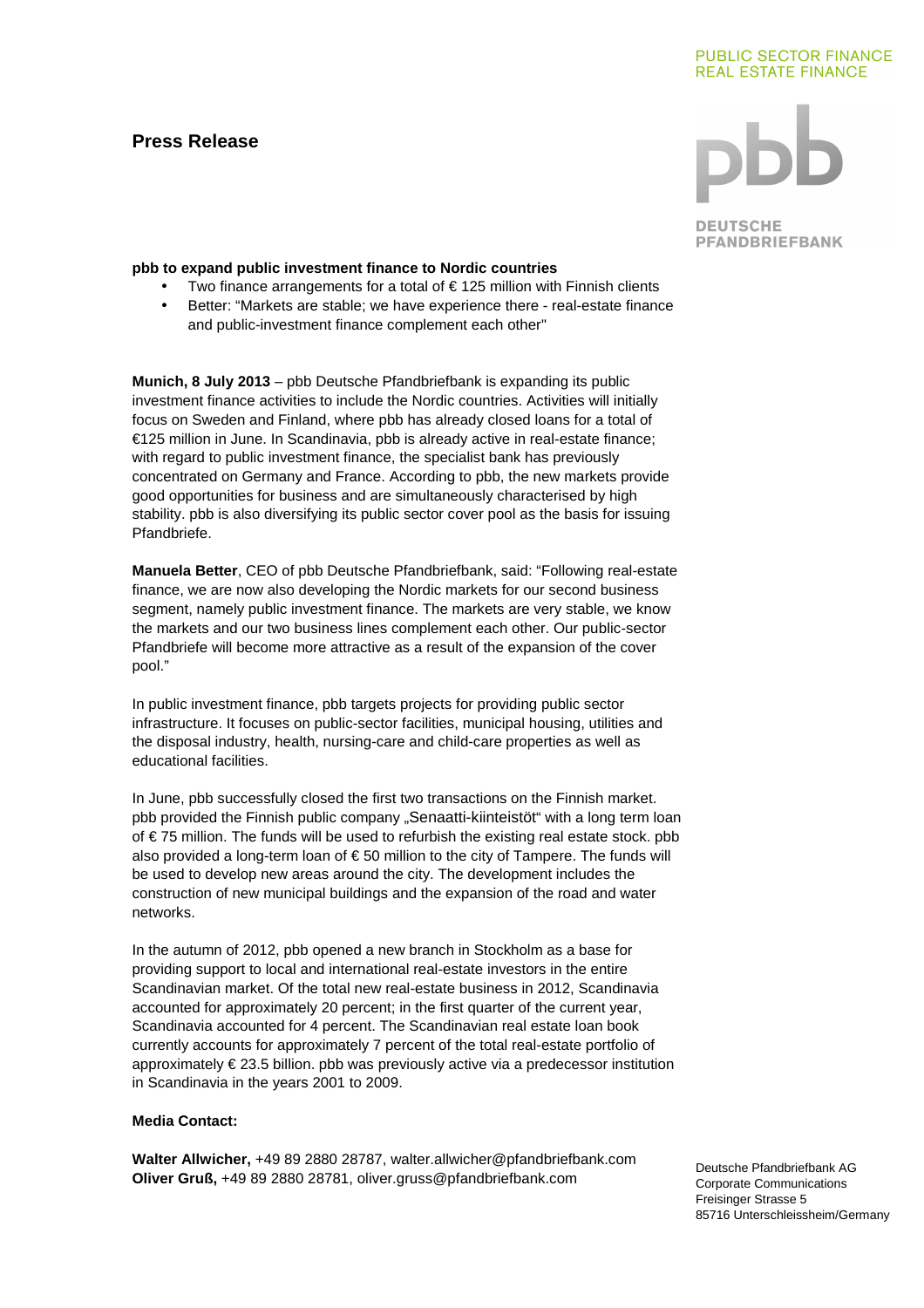# **Press Release**

### **PUBLIC SECTOR FINANCE REAL ESTATE FINANCE**

**DEUTSCHE PFANDBRIEFBANK** 

# **pbb to expand public investment finance to Nordic countries**

- Two finance arrangements for a total of  $\epsilon$  125 million with Finnish clients
- Better: "Markets are stable; we have experience there real-estate finance and public-investment finance complement each other"

**Munich, 8 July 2013** – pbb Deutsche Pfandbriefbank is expanding its public investment finance activities to include the Nordic countries. Activities will initially focus on Sweden and Finland, where pbb has already closed loans for a total of €125 million in June. In Scandinavia, pbb is already active in real-estate finance; with regard to public investment finance, the specialist bank has previously concentrated on Germany and France. According to pbb, the new markets provide good opportunities for business and are simultaneously characterised by high stability. pbb is also diversifying its public sector cover pool as the basis for issuing Pfandbriefe.

**Manuela Better**, CEO of pbb Deutsche Pfandbriefbank, said: "Following real-estate finance, we are now also developing the Nordic markets for our second business segment, namely public investment finance. The markets are very stable, we know the markets and our two business lines complement each other. Our public-sector Pfandbriefe will become more attractive as a result of the expansion of the cover pool."

In public investment finance, pbb targets projects for providing public sector infrastructure. It focuses on public-sector facilities, municipal housing, utilities and the disposal industry, health, nursing-care and child-care properties as well as educational facilities.

In June, pbb successfully closed the first two transactions on the Finnish market. pbb provided the Finnish public company "Senaatti-kiinteistöt" with a long term loan of € 75 million. The funds will be used to refurbish the existing real estate stock. pbb also provided a long-term loan of  $\epsilon$  50 million to the city of Tampere. The funds will be used to develop new areas around the city. The development includes the construction of new municipal buildings and the expansion of the road and water networks.

In the autumn of 2012, pbb opened a new branch in Stockholm as a base for providing support to local and international real-estate investors in the entire Scandinavian market. Of the total new real-estate business in 2012, Scandinavia accounted for approximately 20 percent; in the first quarter of the current year, Scandinavia accounted for 4 percent. The Scandinavian real estate loan book currently accounts for approximately 7 percent of the total real-estate portfolio of approximately € 23.5 billion. pbb was previously active via a predecessor institution in Scandinavia in the years 2001 to 2009.

# **Media Contact:**

**Walter Allwicher,** +49 89 2880 28787, walter.allwicher@pfandbriefbank.com **Oliver Gruß,** +49 89 2880 28781, oliver.gruss@pfandbriefbank.com

Deutsche Pfandbriefbank AG Corporate Communications Freisinger Strasse 5 85716 Unterschleissheim/Germany